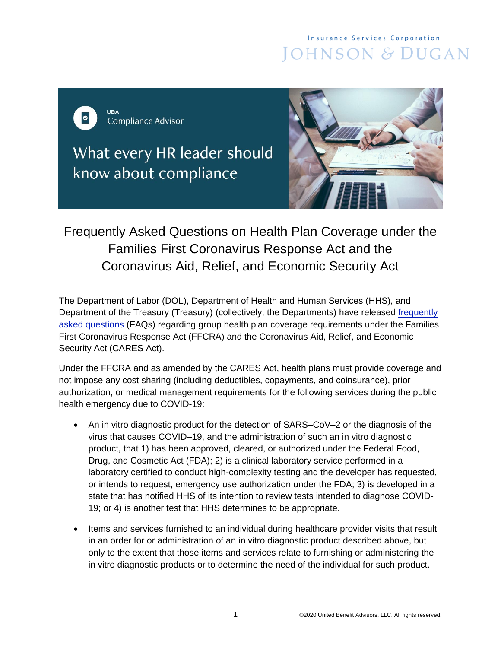## **Insurance Services Corporation** JOHNSON & DUGAN



What every HR leader should know about compliance



# Frequently Asked Questions on Health Plan Coverage under the Families First Coronavirus Response Act and the Coronavirus Aid, Relief, and Economic Security Act

The Department of Labor (DOL), Department of Health and Human Services (HHS), and Department of the Treasury (Treasury) (collectively, the Departments) have released [frequently](https://www.dol.gov/sites/dolgov/files/ebsa/about-ebsa/our-activities/resource-center/faqs/aca-part-42.pdf)  [asked questions](https://www.dol.gov/sites/dolgov/files/ebsa/about-ebsa/our-activities/resource-center/faqs/aca-part-42.pdf) (FAQs) regarding group health plan coverage requirements under the Families First Coronavirus Response Act (FFCRA) and the Coronavirus Aid, Relief, and Economic Security Act (CARES Act).

Under the FFCRA and as amended by the CARES Act, health plans must provide coverage and not impose any cost sharing (including deductibles, copayments, and coinsurance), prior authorization, or medical management requirements for the following services during the public health emergency due to COVID-19:

- An in vitro diagnostic product for the detection of SARS–CoV–2 or the diagnosis of the virus that causes COVID–19, and the administration of such an in vitro diagnostic product, that 1) has been approved, cleared, or authorized under the Federal Food, Drug, and Cosmetic Act (FDA); 2) is a clinical laboratory service performed in a laboratory certified to conduct high-complexity testing and the developer has requested, or intends to request, emergency use authorization under the FDA; 3) is developed in a state that has notified HHS of its intention to review tests intended to diagnose COVID-19; or 4) is another test that HHS determines to be appropriate.
- Items and services furnished to an individual during healthcare provider visits that result in an order for or administration of an in vitro diagnostic product described above, but only to the extent that those items and services relate to furnishing or administering the in vitro diagnostic products or to determine the need of the individual for such product.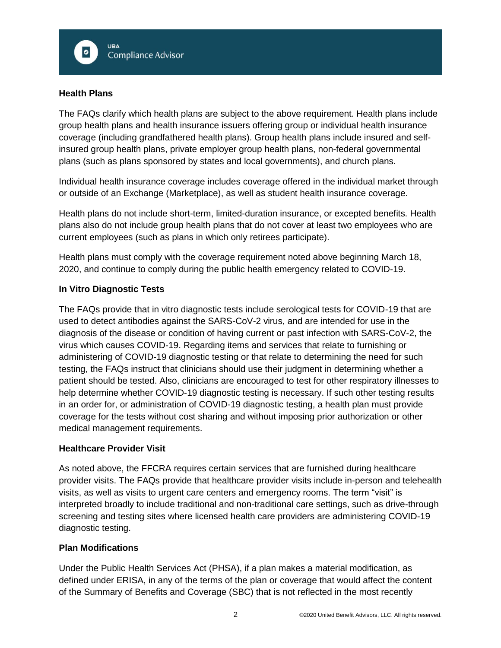

### **Health Plans**

The FAQs clarify which health plans are subject to the above requirement. Health plans include group health plans and health insurance issuers offering group or individual health insurance coverage (including grandfathered health plans). Group health plans include insured and selfinsured group health plans, private employer group health plans, non-federal governmental plans (such as plans sponsored by states and local governments), and church plans.

Individual health insurance coverage includes coverage offered in the individual market through or outside of an Exchange (Marketplace), as well as student health insurance coverage.

Health plans do not include short-term, limited-duration insurance, or excepted benefits. Health plans also do not include group health plans that do not cover at least two employees who are current employees (such as plans in which only retirees participate).

Health plans must comply with the coverage requirement noted above beginning March 18, 2020, and continue to comply during the public health emergency related to COVID-19.

### **In Vitro Diagnostic Tests**

The FAQs provide that in vitro diagnostic tests include serological tests for COVID-19 that are used to detect antibodies against the SARS-CoV-2 virus, and are intended for use in the diagnosis of the disease or condition of having current or past infection with SARS-CoV-2, the virus which causes COVID-19. Regarding items and services that relate to furnishing or administering of COVID-19 diagnostic testing or that relate to determining the need for such testing, the FAQs instruct that clinicians should use their judgment in determining whether a patient should be tested. Also, clinicians are encouraged to test for other respiratory illnesses to help determine whether COVID-19 diagnostic testing is necessary. If such other testing results in an order for, or administration of COVID-19 diagnostic testing, a health plan must provide coverage for the tests without cost sharing and without imposing prior authorization or other medical management requirements.

### **Healthcare Provider Visit**

As noted above, the FFCRA requires certain services that are furnished during healthcare provider visits. The FAQs provide that healthcare provider visits include in-person and telehealth visits, as well as visits to urgent care centers and emergency rooms. The term "visit" is interpreted broadly to include traditional and non-traditional care settings, such as drive-through screening and testing sites where licensed health care providers are administering COVID-19 diagnostic testing.

### **Plan Modifications**

Under the Public Health Services Act (PHSA), if a plan makes a material modification, as defined under ERISA, in any of the terms of the plan or coverage that would affect the content of the Summary of Benefits and Coverage (SBC) that is not reflected in the most recently